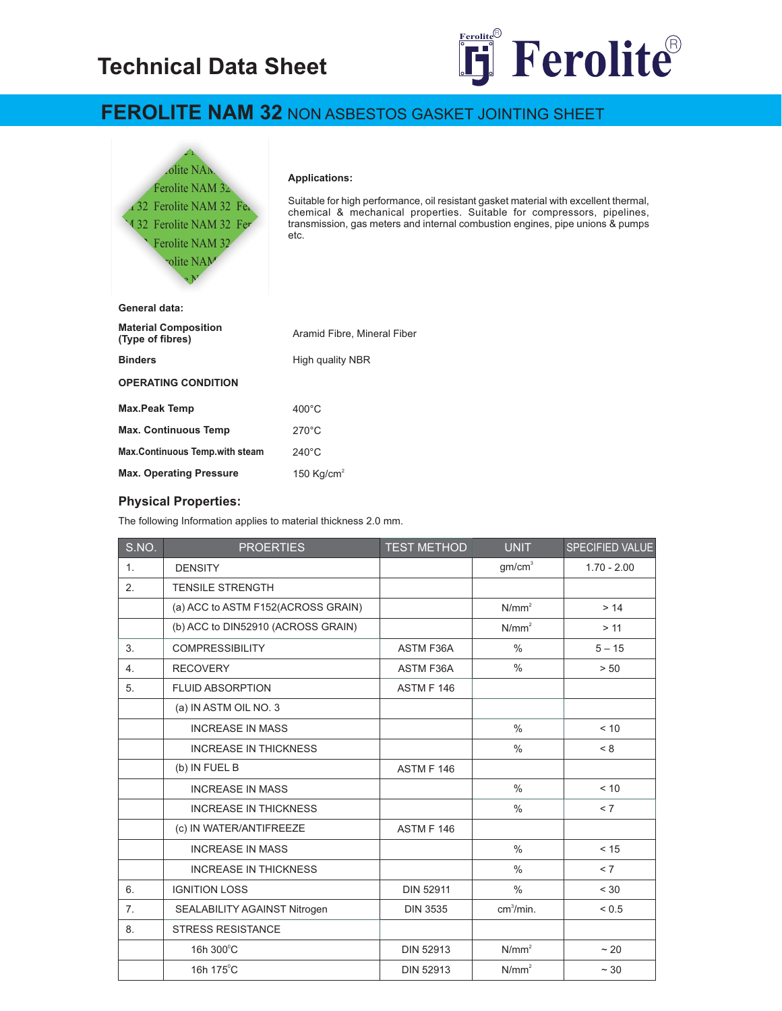# **Technical Data Sheet**



## **FEROLITE NAM 32** NON ASBESTOS GASKET JOINTING SHEET



#### **Applications:**

Suitable for high performance, oil resistant gasket material with excellent thermal, chemical & mechanical properties. Suitable for compressors, pipelines, transmission, gas meters and internal combustion engines, pipe unions & pumps etc.

| General data:                                   |                             |  |  |  |
|-------------------------------------------------|-----------------------------|--|--|--|
| <b>Material Composition</b><br>(Type of fibres) | Aramid Fibre, Mineral Fiber |  |  |  |
| <b>Binders</b>                                  | High quality NBR            |  |  |  |
| <b>OPERATING CONDITION</b>                      |                             |  |  |  |
| <b>Max.Peak Temp</b>                            | $400^{\circ}$ C             |  |  |  |
| <b>Max. Continuous Temp</b>                     | $270^{\circ}$ C             |  |  |  |
| <b>Max.Continuous Temp.with steam</b>           | $240^{\circ}$ C             |  |  |  |
| <b>Max. Operating Pressure</b>                  | 150 Kg/cm $2$               |  |  |  |
|                                                 |                             |  |  |  |

#### **Physical Properties:**

The following Information applies to material thickness 2.0 mm.

| S.NO.          | <b>PROERTIES</b>                   | <b>TEST METHOD</b> | <b>UNIT</b>           | SPECIFIED VALUE |
|----------------|------------------------------------|--------------------|-----------------------|-----------------|
| 1 <sub>1</sub> | <b>DENSITY</b>                     |                    | gm/cm <sup>3</sup>    | $1.70 - 2.00$   |
| 2.             | <b>TENSILE STRENGTH</b>            |                    |                       |                 |
|                | (a) ACC to ASTM F152(ACROSS GRAIN) |                    | N/mm <sup>2</sup>     | > 14            |
|                | (b) ACC to DIN52910 (ACROSS GRAIN) |                    | N/mm <sup>2</sup>     | > 11            |
| 3.             | <b>COMPRESSIBILITY</b>             | <b>ASTM F36A</b>   | $\frac{0}{0}$         | $5 - 15$        |
| 4.             | <b>RECOVERY</b>                    | <b>ASTM F36A</b>   | $\frac{0}{0}$         | > 50            |
| 5.             | <b>FLUID ABSORPTION</b>            | ASTM F 146         |                       |                 |
|                | (a) IN ASTM OIL NO. 3              |                    |                       |                 |
|                | <b>INCREASE IN MASS</b>            |                    | $\frac{0}{0}$         | < 10            |
|                | <b>INCREASE IN THICKNESS</b>       |                    | $\frac{0}{0}$         | < 8             |
|                | (b) IN FUEL B                      | ASTM F 146         |                       |                 |
|                | <b>INCREASE IN MASS</b>            |                    | $\frac{0}{0}$         | < 10            |
|                | <b>INCREASE IN THICKNESS</b>       |                    | $\frac{0}{0}$         | < 7             |
|                | (c) IN WATER/ANTIFREEZE            | <b>ASTM F 146</b>  |                       |                 |
|                | <b>INCREASE IN MASS</b>            |                    | $\frac{0}{0}$         | < 15            |
|                | <b>INCREASE IN THICKNESS</b>       |                    | $\frac{0}{0}$         | < 7             |
| 6.             | <b>IGNITION LOSS</b>               | <b>DIN 52911</b>   | $\frac{0}{0}$         | < 30            |
| 7.             | SEALABILITY AGAINST Nitrogen       | <b>DIN 3535</b>    | cm <sup>3</sup> /min. | < 0.5           |
| 8.             | <b>STRESS RESISTANCE</b>           |                    |                       |                 |
|                | 16h 300°C                          | <b>DIN 52913</b>   | N/mm <sup>2</sup>     | ~20             |
|                | 16h 175°C                          | <b>DIN 52913</b>   | N/mm <sup>2</sup>     | $\sim$ 30       |